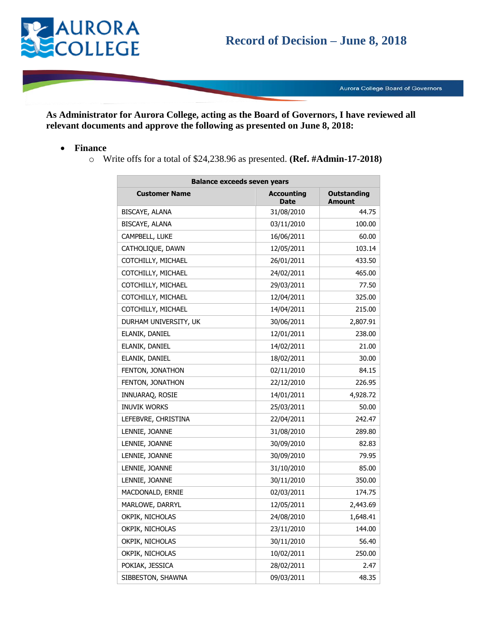

Aurora College Board of Governors

**As Administrator for Aurora College, acting as the Board of Governors, I have reviewed all relevant documents and approve the following as presented on June 8, 2018:**

- **Finance**
	- o Write offs for a total of \$24,238.96 as presented. **(Ref. #Admin-17-2018)**

| <b>Balance exceeds seven years</b> |                                  |                              |  |
|------------------------------------|----------------------------------|------------------------------|--|
| <b>Customer Name</b>               | <b>Accounting</b><br><b>Date</b> | Outstanding<br><b>Amount</b> |  |
| BISCAYE, ALANA                     | 31/08/2010                       | 44.75                        |  |
| BISCAYE, ALANA                     | 03/11/2010                       | 100.00                       |  |
| CAMPBELL, LUKE                     | 16/06/2011                       | 60.00                        |  |
| CATHOLIQUE, DAWN                   | 12/05/2011                       | 103.14                       |  |
| COTCHILLY, MICHAEL                 | 26/01/2011                       | 433.50                       |  |
| COTCHILLY, MICHAEL                 | 24/02/2011                       | 465.00                       |  |
| COTCHILLY, MICHAEL                 | 29/03/2011                       | 77.50                        |  |
| COTCHILLY, MICHAEL                 | 12/04/2011                       | 325.00                       |  |
| COTCHILLY, MICHAEL                 | 14/04/2011                       | 215.00                       |  |
| DURHAM UNIVERSITY, UK              | 30/06/2011                       | 2,807.91                     |  |
| ELANIK, DANIEL                     | 12/01/2011                       | 238.00                       |  |
| ELANIK, DANIEL                     | 14/02/2011                       | 21.00                        |  |
| ELANIK, DANIEL                     | 18/02/2011                       | 30.00                        |  |
| FENTON, JONATHON                   | 02/11/2010                       | 84.15                        |  |
| FENTON, JONATHON                   | 22/12/2010                       | 226.95                       |  |
| INNUARAQ, ROSIE                    | 14/01/2011                       | 4,928.72                     |  |
| <b>INUVIK WORKS</b>                | 25/03/2011                       | 50.00                        |  |
| LEFEBVRE, CHRISTINA                | 22/04/2011                       | 242.47                       |  |
| LENNIE, JOANNE                     | 31/08/2010                       | 289.80                       |  |
| LENNIE, JOANNE                     | 30/09/2010                       | 82.83                        |  |
| LENNIE, JOANNE                     | 30/09/2010                       | 79.95                        |  |
| LENNIE, JOANNE                     | 31/10/2010                       | 85.00                        |  |
| LENNIE, JOANNE                     | 30/11/2010                       | 350.00                       |  |
| MACDONALD, ERNIE                   | 02/03/2011                       | 174.75                       |  |
| MARLOWE, DARRYL                    | 12/05/2011                       | 2,443.69                     |  |
| OKPIK, NICHOLAS                    | 24/08/2010                       | 1,648.41                     |  |
| OKPIK, NICHOLAS                    | 23/11/2010                       | 144.00                       |  |
| OKPIK, NICHOLAS                    | 30/11/2010                       | 56.40                        |  |
| OKPIK, NICHOLAS                    | 10/02/2011                       | 250.00                       |  |
| POKIAK, JESSICA                    | 28/02/2011                       | 2.47                         |  |
| SIBBESTON, SHAWNA                  | 09/03/2011                       | 48.35                        |  |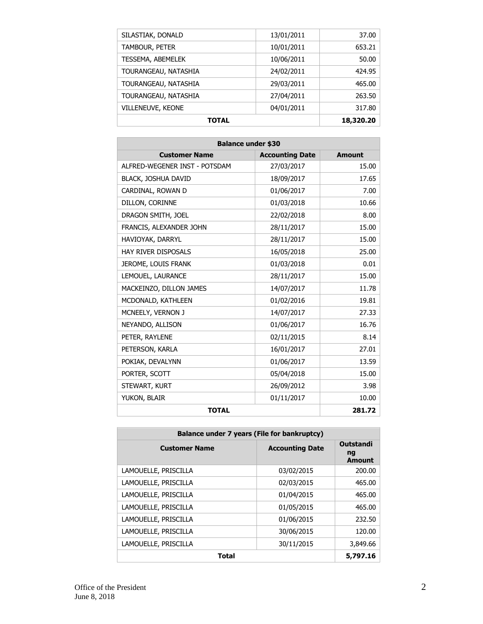| <b>TOTAL</b>         |            | 18,320.20 |
|----------------------|------------|-----------|
| VILLENEUVE, KEONE    | 04/01/2011 | 317.80    |
| TOURANGEAU, NATASHIA | 27/04/2011 | 263.50    |
| TOURANGEAU, NATASHIA | 29/03/2011 | 465.00    |
| TOURANGEAU, NATASHIA | 24/02/2011 | 424.95    |
| TESSEMA, ABEMELEK    | 10/06/2011 | 50.00     |
| TAMBOUR, PETER       | 10/01/2011 | 653.21    |
| SILASTIAK, DONALD    | 13/01/2011 | 37.00     |

| <b>Balance under \$30</b>     |                        |               |  |
|-------------------------------|------------------------|---------------|--|
| <b>Customer Name</b>          | <b>Accounting Date</b> | <b>Amount</b> |  |
| ALFRED-WEGENER INST - POTSDAM | 27/03/2017             | 15.00         |  |
| BLACK, JOSHUA DAVID           | 18/09/2017             | 17.65         |  |
| CARDINAL, ROWAN D             | 01/06/2017             | 7.00          |  |
| DILLON, CORINNE               | 01/03/2018             | 10.66         |  |
| DRAGON SMITH, JOEL            | 22/02/2018             | 8.00          |  |
| FRANCIS, ALEXANDER JOHN       | 28/11/2017             | 15.00         |  |
| HAVIOYAK, DARRYL              | 28/11/2017             | 15.00         |  |
| <b>HAY RIVER DISPOSALS</b>    | 16/05/2018             | 25.00         |  |
| JEROME, LOUIS FRANK           | 01/03/2018             | 0.01          |  |
| LEMOUEL, LAURANCE             | 28/11/2017             | 15.00         |  |
| MACKEINZO, DILLON JAMES       | 14/07/2017             | 11.78         |  |
| MCDONALD, KATHLEEN            | 01/02/2016             | 19.81         |  |
| MCNEELY, VERNON J             | 14/07/2017             | 27.33         |  |
| NEYANDO, ALLISON              | 01/06/2017             | 16.76         |  |
| PETER, RAYLENE                | 02/11/2015             | 8.14          |  |
| PETERSON, KARLA               | 16/01/2017             | 27.01         |  |
| POKIAK, DEVALYNN              | 01/06/2017             | 13.59         |  |
| PORTER, SCOTT                 | 05/04/2018             | 15.00         |  |
| STEWART, KURT                 | 26/09/2012             | 3.98          |  |
| YUKON, BLAIR                  | 01/11/2017             | 10.00         |  |
| <b>TOTAL</b>                  |                        | 281.72        |  |

| <b>Balance under 7 years (File for bankruptcy)</b> |                        |                                                    |  |
|----------------------------------------------------|------------------------|----------------------------------------------------|--|
| <b>Customer Name</b>                               | <b>Accounting Date</b> | <b>Outstandi</b><br>$\mathbf{ng}$<br><b>Amount</b> |  |
| LAMOUELLE, PRISCILLA                               | 03/02/2015             | 200.00                                             |  |
| LAMOUELLE, PRISCILLA                               | 02/03/2015             | 465.00                                             |  |
| LAMOUELLE, PRISCILLA                               | 01/04/2015             | 465.00                                             |  |
| LAMOUELLE, PRISCILLA                               | 01/05/2015             | 465.00                                             |  |
| LAMOUELLE, PRISCILLA                               | 01/06/2015             | 232.50                                             |  |
| LAMOUELLE, PRISCILLA                               | 30/06/2015             | 120.00                                             |  |
| LAMOUELLE, PRISCILLA                               | 30/11/2015             | 3,849.66                                           |  |
| <b>Total</b>                                       |                        | 5,797.16                                           |  |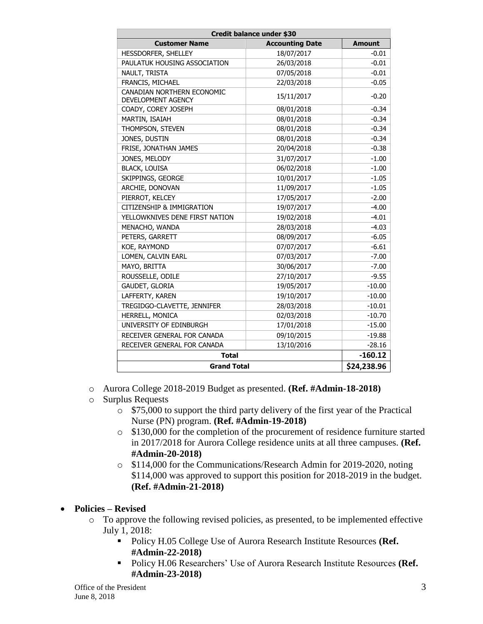| Credit balance under \$30                        |                        |               |  |
|--------------------------------------------------|------------------------|---------------|--|
| <b>Customer Name</b>                             | <b>Accounting Date</b> | <b>Amount</b> |  |
| HESSDORFER, SHELLEY                              | 18/07/2017             | $-0.01$       |  |
| PAULATUK HOUSING ASSOCIATION                     | 26/03/2018             | $-0.01$       |  |
| NAULT, TRISTA                                    | 07/05/2018             | $-0.01$       |  |
| FRANCIS, MICHAEL                                 | 22/03/2018             | $-0.05$       |  |
| CANADIAN NORTHERN ECONOMIC<br>DEVELOPMENT AGENCY | 15/11/2017             | $-0.20$       |  |
| COADY, COREY JOSEPH                              | 08/01/2018             | $-0.34$       |  |
| MARTIN, ISAIAH                                   | 08/01/2018             | $-0.34$       |  |
| THOMPSON, STEVEN                                 | 08/01/2018             | $-0.34$       |  |
| JONES, DUSTIN                                    | 08/01/2018             | $-0.34$       |  |
| FRISE, JONATHAN JAMES                            | 20/04/2018             | $-0.38$       |  |
| JONES, MELODY                                    | 31/07/2017             | $-1.00$       |  |
| <b>BLACK, LOUISA</b>                             | 06/02/2018             | $-1.00$       |  |
| SKIPPINGS, GEORGE                                | 10/01/2017             | $-1.05$       |  |
| ARCHIE, DONOVAN                                  | 11/09/2017             | $-1.05$       |  |
| PIERROT, KELCEY                                  | 17/05/2017             | $-2.00$       |  |
| CITIZENSHIP & IMMIGRATION                        | 19/07/2017             | $-4.00$       |  |
| YELLOWKNIVES DENE FIRST NATION                   | 19/02/2018             | $-4.01$       |  |
| MENACHO, WANDA                                   | 28/03/2018             | $-4.03$       |  |
| PETERS, GARRETT                                  | 08/09/2017             | $-6.05$       |  |
| KOE, RAYMOND                                     | 07/07/2017             | $-6.61$       |  |
| LOMEN, CALVIN EARL                               | 07/03/2017             | $-7.00$       |  |
| MAYO, BRITTA                                     | 30/06/2017             | $-7.00$       |  |
| ROUSSELLE, ODILE                                 | 27/10/2017             | $-9.55$       |  |
| GAUDET, GLORIA                                   | 19/05/2017             | $-10.00$      |  |
| LAFFERTY, KAREN                                  | 19/10/2017             | $-10.00$      |  |
| TREGIDGO-CLAVETTE, JENNIFER                      | 28/03/2018             | $-10.01$      |  |
| HERRELL, MONICA                                  | 02/03/2018             | $-10.70$      |  |
| UNIVERSITY OF EDINBURGH                          | 17/01/2018             | $-15.00$      |  |
| RECEIVER GENERAL FOR CANADA                      | 09/10/2015             | $-19.88$      |  |
| RECEIVER GENERAL FOR CANADA                      | 13/10/2016             | $-28.16$      |  |
| <b>Total</b>                                     |                        | $-160.12$     |  |
| <b>Grand Total</b>                               |                        | \$24,238.96   |  |

- o Aurora College 2018-2019 Budget as presented. **(Ref. #Admin-18-2018)**
- o Surplus Requests
	- o \$75,000 to support the third party delivery of the first year of the Practical Nurse (PN) program. **(Ref. #Admin-19-2018)**
	- o \$130,000 for the completion of the procurement of residence furniture started in 2017/2018 for Aurora College residence units at all three campuses. **(Ref. #Admin-20-2018)**
	- o \$114,000 for the Communications/Research Admin for 2019-2020, noting \$114,000 was approved to support this position for 2018-2019 in the budget. **(Ref. #Admin-21-2018)**

## **Policies – Revised**

- o To approve the following revised policies, as presented, to be implemented effective July 1, 2018:
	- Policy H.05 College Use of Aurora Research Institute Resources **(Ref. #Admin-22-2018)**
	- Policy H.06 Researchers' Use of Aurora Research Institute Resources (Ref. **#Admin-23-2018)**